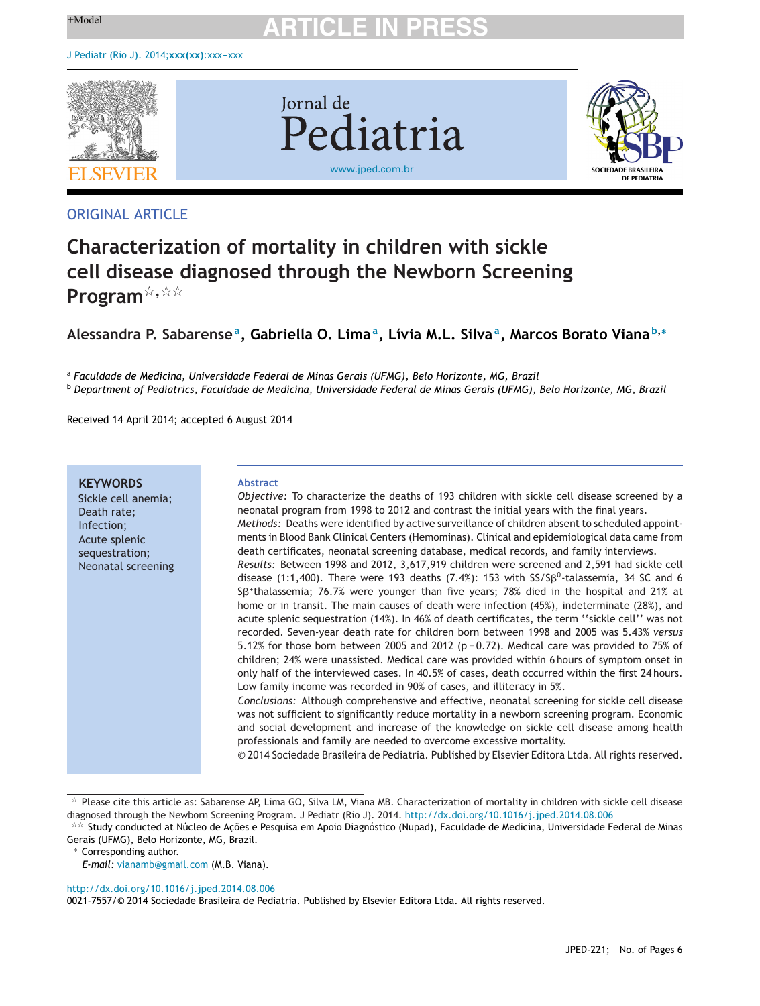

# ORIGINAL ARTICLE

# **Characterization of mortality in children with sickle cell disease diagnosed through the Newborn Screening** Program<sup>\*,\*\*</sup>

# **Alessandra P. Sabarensea, Gabriella O. Limaa, Lívia M.L. Silvaa, Marcos Borato Viana <sup>b</sup>,<sup>∗</sup>**

<sup>a</sup> *Faculdade de Medicina, Universidade Federal de Minas Gerais (UFMG), Belo Horizonte, MG, Brazil*

<sup>b</sup> Department of Pediatrics, Faculdade de Medicina, Universidade Federal de Minas Gerais (UFMG), Belo Horizonte, MG, Brazil

Received 14 April 2014; accepted 6 August 2014

### **KEYWORDS**

Sickle cell anemia; Death rate; Infection; Acute splenic sequestration; Neonatal screening

#### **Abstract**

*Objective:* To characterize the deaths of 193 children with sickle cell disease screened by a neonatal program from 1998 to 2012 and contrast the initial years with the final years. *Methods:* Deaths were identified by active surveillance of children absent to scheduled appointments in Blood Bank Clinical Centers (Hemominas). Clinical and epidemiological data came from death certificates, neonatal screening database, medical records, and family interviews. *Results:* Between 1998 and 2012, 3,617,919 children were screened and 2,591 had sickle cell disease (1:1,400). There were 193 deaths (7.4%): 153 with  $SS/S\beta^{0}$ -talassemia, 34 SC and 6 Sß<sup>+</sup>thalassemia; 76.7% were younger than five years; 78% died in the hospital and 21% at home or in transit. The main causes of death were infection  $(45%)$ , indeterminate  $(28%)$ , and acute splenic sequestration (14%). In 46% of death certificates, the term ''sickle cell'' was not recorded. Seven-year death rate for children born between 1998 and 2005 was 5.43% *versus* 5.12% for those born between 2005 and 2012 ( $p = 0.72$ ). Medical care was provided to 75% of children; 24% were unassisted. Medical care was provided within 6 hours of symptom onset in only half of the interviewed cases. In 40.5% of cases, death occurred within the first 24 hours. Low family income was recorded in 90% of cases, and illiteracy in 5%.

*Conclusions:* Although comprehensive and effective, neonatal screening for sickle cell disease was not sufficient to significantly reduce mortality in a newborn screening program. Economic and social development and increase of the knowledge on sickle cell disease among health professionals and family are needed to overcome excessive mortality.

© 2014 Sociedade Brasileira de Pediatria. Published by Elsevier Editora Ltda. All rights reserved.

∗ Corresponding author.

*E-mail:* [vianamb@gmail.com](mailto:vianamb@gmail.com) (M.B. Viana).

[http://dx.doi.org/10.1016/j.jped.2014.08.006](dx.doi.org/10.1016/j.jped.2014.08.006)

0021-7557/© 2014 Sociedade Brasileira de Pediatria. Published by Elsevier Editora Ltda. All rights reserved.

 $*$  Please cite this article as: Sabarense AP, Lima GO, Silva LM, Viana MB. Characterization of mortality in children with sickle cell disease diagnosed through the Newborn Screening Program. J Pediatr (Rio J). 2014. <http://dx.doi.org/10.1016/j.jped.2014.08.006>

<sup>\*\*</sup> Study conducted at Núcleo de Ações e Pesquisa em Apoio Diagnóstico (Nupad), Faculdade de Medicina, Universidade Federal de Minas Gerais (UFMG), Belo Horizonte, MG, Brazil.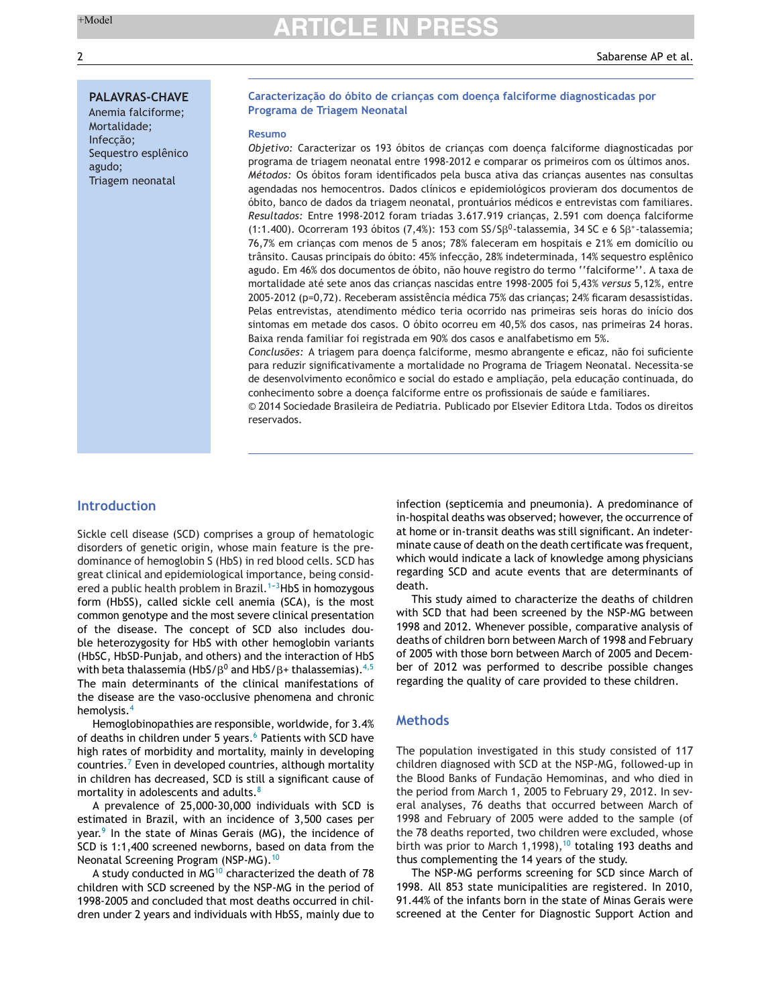#### **PALAVRAS-CHAVE**

Anemia falciforme; Mortalidade; Infeccão; Sequestro esplênico agudo; Triagem neonatal

#### **Caracterizac¸ão do óbito de crianc¸as com doenc¸a falciforme diagnosticadas por Programa de Triagem Neonatal**

#### **Resumo**

Objetivo: Caracterizar os 193 óbitos de crianças com doença falciforme diagnosticadas por programa de triagem neonatal entre 1998-2012 e comparar os primeiros com os últimos anos. *Métodos:* Os óbitos foram identificados pela busca ativa das criancas ausentes nas consultas agendadas nos hemocentros. Dados clínicos e epidemiológicos provieram dos documentos de óbito, banco de dados da triagem neonatal, prontuários médicos e entrevistas com familiares. Resultados: Entre 1998-2012 foram triadas 3.617.919 criancas, 2.591 com doenca falciforme (1:1.400). Ocorreram 193 óbitos (7,4%): 153 com SS/S $\beta^0$ -talassemia, 34 SC e 6 S $\beta^*$ -talassemia; 76,7% em criancas com menos de 5 anos; 78% faleceram em hospitais e 21% em domicílio ou trânsito. Causas principais do óbito: 45% infecção, 28% indeterminada, 14% sequestro esplênico agudo. Em 46% dos documentos de óbito, não houve registro do termo ''falciforme''. A taxa de mortalidade até sete anos das crianças nascidas entre 1998-2005 foi 5,43% *versus* 5,12%, entre 2005-2012 (p=0,72). Receberam assistência médica 75% das crianças; 24% ficaram desassistidas. Pelas entrevistas, atendimento médico teria ocorrido nas primeiras seis horas do início dos sintomas em metade dos casos. O óbito ocorreu em 40,5% dos casos, nas primeiras 24 horas. Baixa renda familiar foi registrada em 90% dos casos e analfabetismo em 5%.

Conclusões: A triagem para doenca falciforme, mesmo abrangente e eficaz, não foi suficiente para reduzir significativamente a mortalidade no Programa de Triagem Neonatal. Necessita-se de desenvolvimento econômico e social do estado e ampliação, pela educação continuada, do conhecimento sobre a doença falciforme entre os profissionais de saúde e familiares.

© 2014 Sociedade Brasileira de Pediatria. Publicado por Elsevier Editora Ltda. Todos os direitos reservados.

### **Introduction**

Sickle cell disease (SCD) comprises a group of hematologic disorders of genetic origin, whose main feature is the predominance of hemoglobin S (HbS) in red blood cells. SCD has great clinical and epidemiological importance, being considered a public health problem in Brazil.<sup>1-3</sup>HbS in homozygous form (HbSS), called sickle cell anemia (SCA), is the most common genotype and the most severe clinical presentation of the disease. The concept of SCD also includes double heterozygosity for HbS with other hemoglobin variants (HbSC, HbSD-Punjab, and others) and the interaction of HbS with beta thalassemia (HbS/ $\beta^0$  and HbS/ $\beta$ + thalassemias). $^{4,5}$  $^{4,5}$  $^{4,5}$ The main determinants of the clinical manifestations of the disease are the vaso-occlusive phenomena and chronic hemolysis.[4](#page-5-0)

Hemoglobinopathies are responsible, worldwide, for 3.4% of deaths in children under 5 years.<sup>6</sup> [P](#page-5-0)atients with SCD have high rates of morbidity and mortality, mainly in developing countries.<sup>7</sup> [E](#page-5-0)ven in developed countries, although mortality in children has decreased, SCD is still a significant cause of mortality in adolescents and adults.<sup>[8](#page-5-0)</sup>

A prevalence of 25,000-30,000 individuals with SCD is estimated in Brazil, with an incidence of 3,500 cases per year. $9$  In the state of Minas Gerais (MG), the incidence of SCD is 1:1,400 screened newborns, based on data from the Neonatal Screening Program (NSP-MG).[10](#page-5-0)

A study conducted in MG<sup>[10](#page-5-0)</sup> characterized the death of 78 children with SCD screened by the NSP-MG in the period of 1998-2005 and concluded that most deaths occurred in children under 2 years and individuals with HbSS, mainly due to

infection (septicemia and pneumonia). A predominance of in-hospital deaths was observed; however, the occurrence of at home or in-transit deaths was still significant. An indeterminate cause of death on the death certificate was frequent, which would indicate a lack of knowledge among physicians regarding SCD and acute events that are determinants of death.

This study aimed to characterize the deaths of children with SCD that had been screened by the NSP-MG between 1998 and 2012. Whenever possible, comparative analysis of deaths of children born between March of 1998 and February of 2005 with those born between March of 2005 and December of 2012 was performed to describe possible changes regarding the quality of care provided to these children.

## **Methods**

The population investigated in this study consisted of 117 children diagnosed with SCD at the NSP-MG, followed-up in the Blood Banks of Fundação Hemominas, and who died in the period from March 1, 2005 to February 29, 2012. In several analyses, 76 deaths that occurred between March of 1998 and February of 2005 were added to the sample (of the 78 deaths reported, two children were excluded, whose birth was prior to March 1,1998),<sup>[10](#page-5-0)</sup> totaling 193 deaths and thus complementing the 14 years of the study.

The NSP-MG performs screening for SCD since March of 1998. All 853 state municipalities are registered. In 2010, 91.44% of the infants born in the state of Minas Gerais were screened at the Center for Diagnostic Support Action and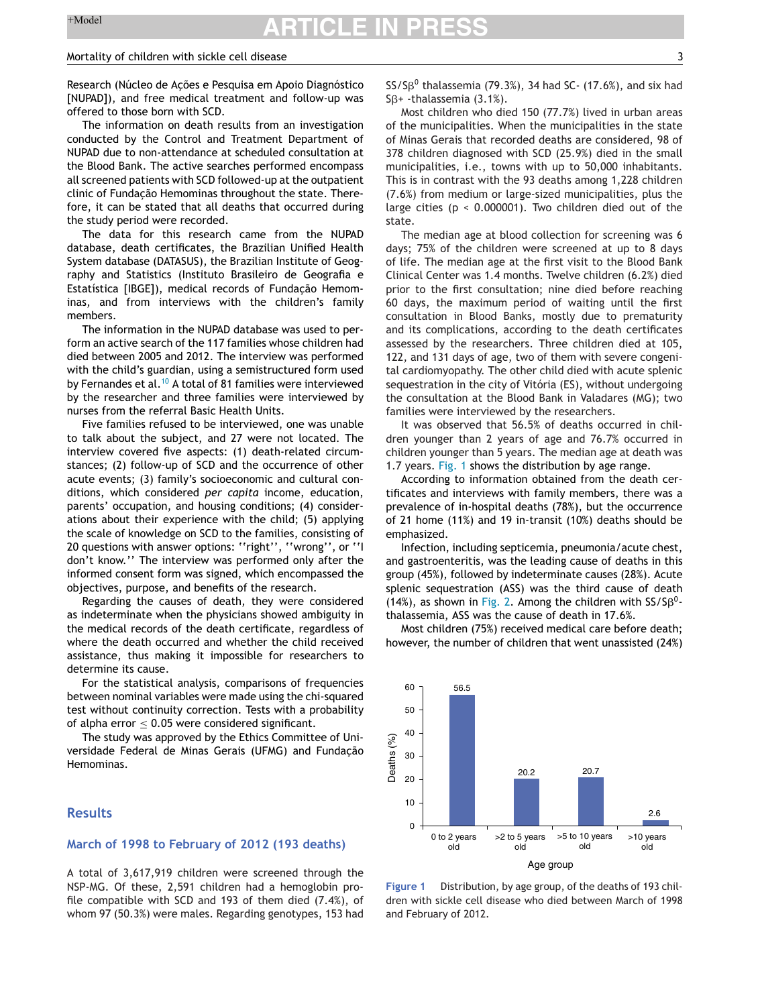#### Mortality of children with sickle cell disease 3

Research (Núcleo de Acões e Pesquisa em Apoio Diagnóstico [NUPAD]), and free medical treatment and follow-up was offered to those born with SCD.

The information on death results from an investigation conducted by the Control and Treatment Department of NUPAD due to non-attendance at scheduled consultation at the Blood Bank. The active searches performed encompass all screened patients with SCD followed-up at the outpatient clinic of Fundacão Hemominas throughout the state. Therefore, it can be stated that all deaths that occurred during the study period were recorded.

The data for this research came from the NUPAD database, death certificates, the Brazilian Unified Health System database (DATASUS), the Brazilian Institute of Geography and Statistics (Instituto Brasileiro de Geografia e Estatística [IBGE]), medical records of Fundação Hemominas, and from interviews with the children's family members.

The information in the NUPAD database was used to perform an active search of the 117 families whose children had died between 2005 and 2012. The interview was performed with the child's guardian, using a semistructured form used by Fernandes et al.<sup>[10](#page-5-0)</sup> A total of 81 families were interviewed by the researcher and three families were interviewed by nurses from the referral Basic Health Units.

Five families refused to be interviewed, one was unable to talk about the subject, and 27 were not located. The interview covered five aspects: (1) death-related circumstances; (2) follow-up of SCD and the occurrence of other acute events; (3) family's socioeconomic and cultural conditions, which considered *per capita* income, education, parents' occupation, and housing conditions; (4) considerations about their experience with the child; (5) applying the scale of knowledge on SCD to the families, consisting of 20 questions with answer options: ''right'', ''wrong'', or ''I don't know.'' The interview was performed only after the informed consent form was signed, which encompassed the objectives, purpose, and benefits of the research.

Regarding the causes of death, they were considered as indeterminate when the physicians showed ambiguity in the medical records of the death certificate, regardless of where the death occurred and whether the child received assistance, thus making it impossible for researchers to determine its cause.

For the statistical analysis, comparisons of frequencies between nominal variables were made using the chi-squared test without continuity correction. Tests with a probability of alpha error  $\leq$  0.05 were considered significant.

The study was approved by the Ethics Committee of Universidade Federal de Minas Gerais (UFMG) and Fundação Hemominas.

### **Results**

#### **March of 1998 to February of 2012 (193 deaths)**

A total of 3,617,919 children were screened through the NSP-MG. Of these, 2,591 children had a hemoglobin profile compatible with SCD and 193 of them died (7.4%), of whom 97 (50.3%) were males. Regarding genotypes, 153 had  $SS/S\beta^0$  thalassemia (79.3%), 34 had SC- (17.6%), and six had  $S\beta$ + -thalassemia (3.1%).

Most children who died 150 (77.7%) lived in urban areas of the municipalities. When the municipalities in the state of Minas Gerais that recorded deaths are considered, 98 of 378 children diagnosed with SCD (25.9%) died in the small municipalities, i.e., towns with up to 50,000 inhabitants. This is in contrast with the 93 deaths among 1,228 children (7.6%) from medium or large-sized municipalities, plus the large cities (p < 0.000001). Two children died out of the state.

The median age at blood collection for screening was 6 days; 75% of the children were screened at up to 8 days of life. The median age at the first visit to the Blood Bank Clinical Center was 1.4 months. Twelve children (6.2%) died prior to the first consultation; nine died before reaching 60 days, the maximum period of waiting until the first consultation in Blood Banks, mostly due to prematurity and its complications, according to the death certificates assessed by the researchers. Three children died at 105, 122, and 131 days of age, two of them with severe congenital cardiomyopathy. The other child died with acute splenic sequestration in the city of Vitória (ES), without undergoing the consultation at the Blood Bank in Valadares (MG); two families were interviewed by the researchers.

It was observed that 56.5% of deaths occurred in children younger than 2 years of age and 76.7% occurred in children younger than 5 years. The median age at death was 1.7 years. Fig. 1 shows the distribution by age range.

According to information obtained from the death certificates and interviews with family members, there was a prevalence of in-hospital deaths (78%), but the occurrence of 21 home (11%) and 19 in-transit (10%) deaths should be emphasized.

Infection, including septicemia, pneumonia/acute chest, and gastroenteritis, was the leading cause of deaths in this group (45%), followed by indeterminate causes (28%). Acute splenic sequestration (ASS) was the third cause of death (14%), as shown in [Fig.](#page-3-0) 2. Among the children with  $SS/5\beta^{0}$ thalassemia, ASS was the cause of death in 17.6%.

Most children (75%) received medical care before death; however, the number of children that went unassisted (24%)



**Figure 1** Distribution, by age group, of the deaths of 193 children with sickle cell disease who died between March of 1998 and February of 2012.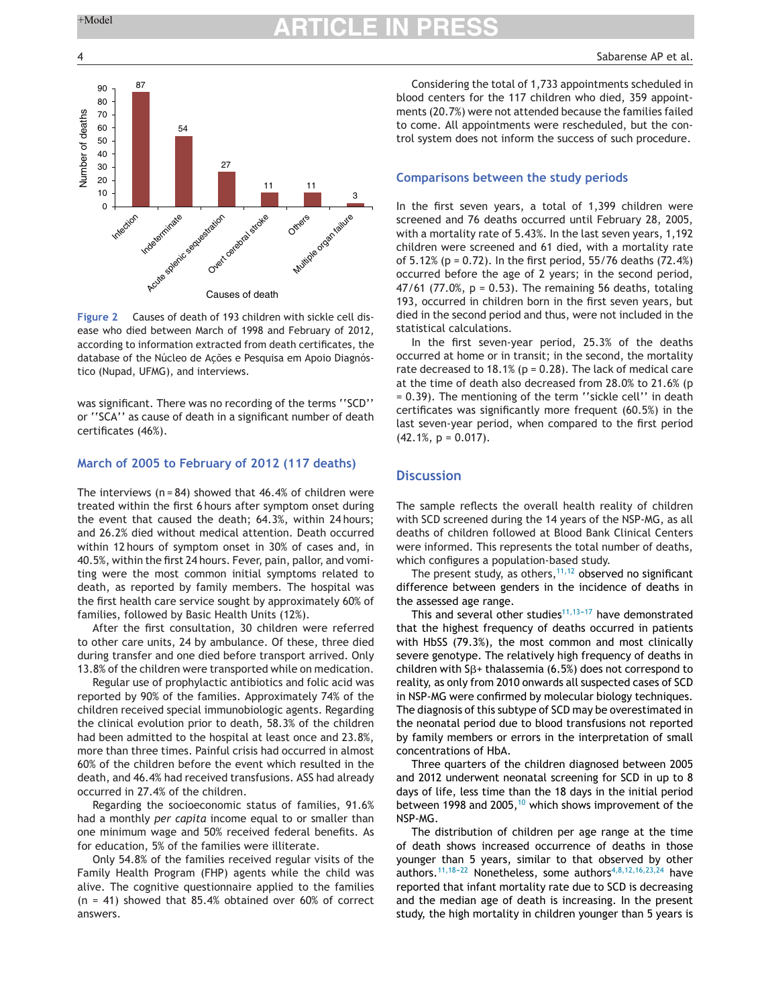<span id="page-3-0"></span>



**Figure 2** Causes of death of 193 children with sickle cell disease who died between March of 1998 and February of 2012, according to information extracted from death certificates, the database of the Núcleo de Ações e Pesquisa em Apoio Diagnóstico (Nupad, UFMG), and interviews.

was significant. There was no recording of the terms ''SCD'' or ''SCA'' as cause of death in a significant number of death certificates (46%).

## **March of 2005 to February of 2012 (117 deaths)**

The interviews ( $n = 84$ ) showed that 46.4% of children were treated within the first 6 hours after symptom onset during the event that caused the death; 64.3%, within 24 hours; and 26.2% died without medical attention. Death occurred within 12 hours of symptom onset in 30% of cases and, in 40.5%, within the first 24 hours. Fever, pain, pallor, and vomiting were the most common initial symptoms related to death, as reported by family members. The hospital was the first health care service sought by approximately 60% of families, followed by Basic Health Units (12%).

After the first consultation, 30 children were referred to other care units, 24 by ambulance. Of these, three died during transfer and one died before transport arrived. Only 13.8% of the children were transported while on medication.

Regular use of prophylactic antibiotics and folic acid was reported by 90% of the families. Approximately 74% of the children received special immunobiologic agents. Regarding the clinical evolution prior to death, 58.3% of the children had been admitted to the hospital at least once and 23.8%, more than three times. Painful crisis had occurred in almost 60% of the children before the event which resulted in the death, and 46.4% had received transfusions. ASS had already occurred in 27.4% of the children.

Regarding the socioeconomic status of families, 91.6% had a monthly *per capita* income equal to or smaller than one minimum wage and 50% received federal benefits. As for education, 5% of the families were illiterate.

Only 54.8% of the families received regular visits of the Family Health Program (FHP) agents while the child was alive. The cognitive questionnaire applied to the families  $(n = 41)$  showed that 85.4% obtained over 60% of correct answers.

Considering the total of 1,733 appointments scheduled in blood centers for the 117 children who died, 359 appointments (20.7%) were not attended because the families failed to come. All appointments were rescheduled, but the control system does not inform the success of such procedure.

## **Comparisons between the study periods**

In the first seven years, a total of 1,399 children were screened and 76 deaths occurred until February 28, 2005, with a mortality rate of 5.43%. In the last seven years, 1,192 children were screened and 61 died, with a mortality rate of  $5.12\%$  (p = 0.72). In the first period,  $55/76$  deaths (72.4%) occurred before the age of 2 years; in the second period,  $47/61$  (77.0%,  $p = 0.53$ ). The remaining 56 deaths, totaling 193, occurred in children born in the first seven years, but died in the second period and thus, were not included in the statistical calculations.

In the first seven-year period, 25.3% of the deaths occurred at home or in transit; in the second, the mortality rate decreased to 18.1% ( $p = 0.28$ ). The lack of medical care at the time of death also decreased from 28.0% to 21.6% (p = 0.39). The mentioning of the term ''sickle cell'' in death certificates was significantly more frequent (60.5%) in the last seven-year period, when compared to the first period  $(42.1\%, p = 0.017)$ .

### **Discussion**

The sample reflects the overall health reality of children with SCD screened during the 14 years of the NSP-MG, as all deaths of children followed at Blood Bank Clinical Centers were informed. This represents the total number of deaths, which configures a population-based study.

The present study, as others,  $11,12$  observed no significant difference between genders in the incidence of deaths in the assessed age range.

This and several other studies<sup>11,13-17</sup> have demonstrated that the highest frequency of deaths occurred in patients with HbSS (79.3%), the most common and most clinically severe genotype. The relatively high frequency of deaths in children with  $S\beta$ + thalassemia (6.5%) does not correspond to reality, as only from 2010 onwards all suspected cases of SCD in NSP-MG were confirmed by molecular biology techniques. The diagnosis of this subtype of SCD may be overestimated in the neonatal period due to blood transfusions not reported by family members or errors in the interpretation of small concentrations of HbA.

Three quarters of the children diagnosed between 2005 and 2012 underwent neonatal screening for SCD in up to 8 days of life, less time than the 18 days in the initial period between 1998 and 2005,  $10$  which shows improvement of the NSP-MG.

The distribution of children per age range at the time of death shows increased occurrence of deaths in those younger than 5 years, similar to that observed by other authors.<sup>11,18-22</sup> Nonetheless, some authors<sup>[4,8,12,16,23,24](#page-5-0)</sup> have reported that infant mortality rate due to SCD is decreasing and the median age of death is increasing. In the present study, the high mortality in children younger than 5 years is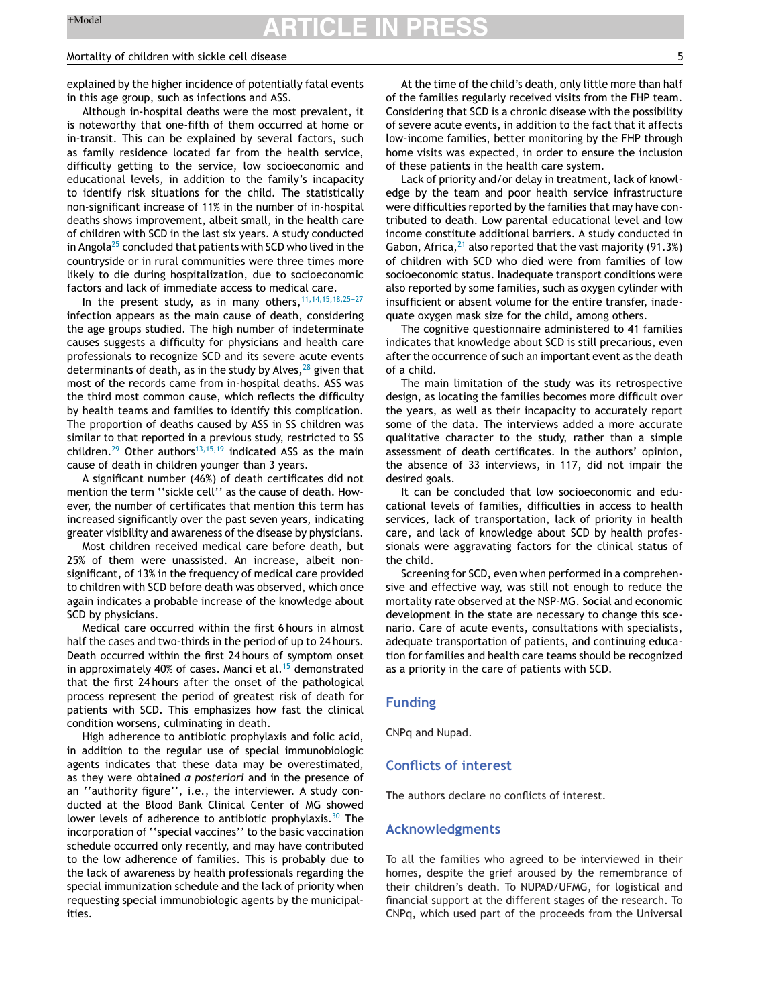#### Mortality of children with sickle cell disease 5

explained by the higher incidence of potentially fatal events in this age group, such as infections and ASS.

Although in-hospital deaths were the most prevalent, it is noteworthy that one-fifth of them occurred at home or in-transit. This can be explained by several factors, such as family residence located far from the health service, difficulty getting to the service, low socioeconomic and educational levels, in addition to the family's incapacity to identify risk situations for the child. The statistically non-significant increase of 11% in the number of in-hospital deaths shows improvement, albeit small, in the health care of children with SCD in the last six years. A study conducted in Angola $^{25}$  $^{25}$  $^{25}$  concluded that patients with SCD who lived in the countryside or in rural communities were three times more likely to die during hospitalization, due to socioeconomic factors and lack of immediate access to medical care.

In the present study, as in many others,  $11,14,15,18,25-27$ infection appears as the main cause of death, considering the age groups studied. The high number of indeterminate causes suggests a difficulty for physicians and health care professionals to recognize SCD and its severe acute events determinants of death, as in the study by Alves,  $28$  given that most of the records came from in-hospital deaths. ASS was the third most common cause, which reflects the difficulty by health teams and families to identify this complication. The proportion of deaths caused by ASS in SS children was similar to that reported in a previous study, restricted to SS children.<sup>[29](#page-5-0)</sup> Other authors<sup>[13,15,19](#page-5-0)</sup> indicated ASS as the main cause of death in children younger than 3 years.

A significant number (46%) of death certificates did not mention the term ''sickle cell'' as the cause of death. However, the number of certificates that mention this term has increased significantly over the past seven years, indicating greater visibility and awareness of the disease by physicians.

Most children received medical care before death, but 25% of them were unassisted. An increase, albeit nonsignificant, of 13% in the frequency of medical care provided to children with SCD before death was observed, which once again indicates a probable increase of the knowledge about SCD by physicians.

Medical care occurred within the first 6 hours in almost half the cases and two-thirds in the period of up to 24 hours. Death occurred within the first 24 hours of symptom onset in approximately 40% of cases. Manci et al.<sup>[15](#page-5-0)</sup> demonstrated that the first 24 hours after the onset of the pathological process represent the period of greatest risk of death for patients with SCD. This emphasizes how fast the clinical condition worsens, culminating in death.

High adherence to antibiotic prophylaxis and folic acid, in addition to the regular use of special immunobiologic agents indicates that these data may be overestimated, as they were obtained *a posteriori* and in the presence of an ''authority figure'', i.e., the interviewer. A study conducted at the Blood Bank Clinical Center of MG showed lower levels of adherence to antibiotic prophylaxis.<sup>[30](#page-5-0)</sup> The incorporation of ''special vaccines'' to the basic vaccination schedule occurred only recently, and may have contributed to the low adherence of families. This is probably due to the lack of awareness by health professionals regarding the special immunization schedule and the lack of priority when requesting special immunobiologic agents by the municipalities.

At the time of the child's death, only little more than half of the families regularly received visits from the FHP team. Considering that SCD is a chronic disease with the possibility of severe acute events, in addition to the fact that it affects low-income families, better monitoring by the FHP through home visits was expected, in order to ensure the inclusion of these patients in the health care system.

Lack of priority and/or delay in treatment, lack of knowledge by the team and poor health service infrastructure were difficulties reported by the families that may have contributed to death. Low parental educational level and low income constitute additional barriers. A study conducted in Gabon, Africa,  $^{21}$  $^{21}$  $^{21}$  also reported that the vast majority (91.3%) of children with SCD who died were from families of low socioeconomic status. Inadequate transport conditions were also reported by some families, such as oxygen cylinder with insufficient or absent volume for the entire transfer, inadequate oxygen mask size for the child, among others.

The cognitive questionnaire administered to 41 families indicates that knowledge about SCD is still precarious, even after the occurrence of such an important event as the death of a child.

The main limitation of the study was its retrospective design, as locating the families becomes more difficult over the years, as well as their incapacity to accurately report some of the data. The interviews added a more accurate qualitative character to the study, rather than a simple assessment of death certificates. In the authors' opinion, the absence of 33 interviews, in 117, did not impair the desired goals.

It can be concluded that low socioeconomic and educational levels of families, difficulties in access to health services, lack of transportation, lack of priority in health care, and lack of knowledge about SCD by health professionals were aggravating factors for the clinical status of the child.

Screening for SCD, even when performed in a comprehensive and effective way, was still not enough to reduce the mortality rate observed at the NSP-MG. Social and economic development in the state are necessary to change this scenario. Care of acute events, consultations with specialists, adequate transportation of patients, and continuing education for families and health care teams should be recognized as a priority in the care of patients with SCD.

#### **Funding**

CNPq and Nupad.

### **Conflicts of interest**

The authors declare no conflicts of interest.

#### **Acknowledgments**

To all the families who agreed to be interviewed in their homes, despite the grief aroused by the remembrance of their children's death. To NUPAD/UFMG, for logistical and financial support at the different stages of the research. To CNPq, which used part of the proceeds from the Universal